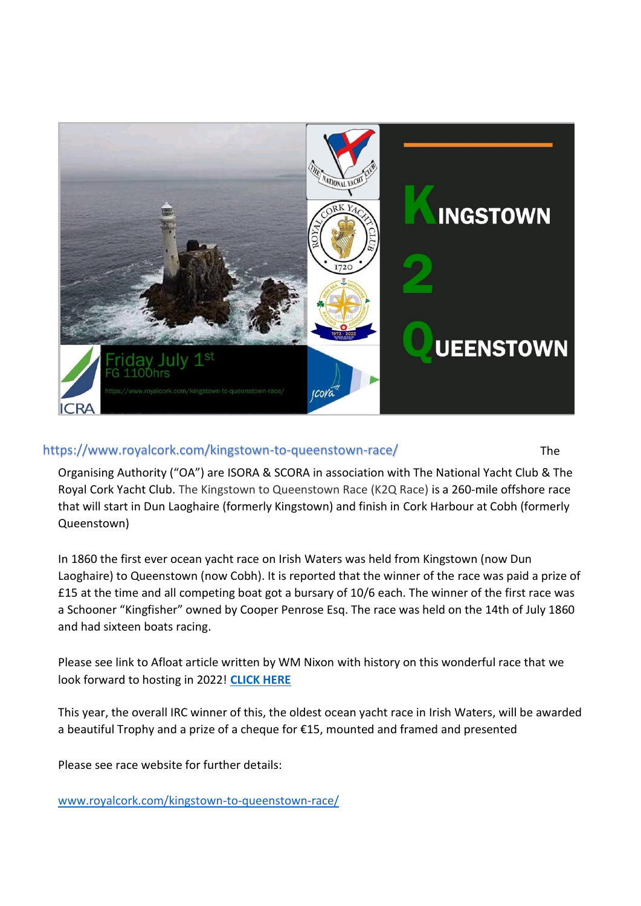

# https://www.royalcork.com/kingstown-to-queenstown-race/ The

Organising Authority ("OA") are ISORA & SCORA in association with The National Yacht Club & The Royal Cork Yacht Club. The Kingstown to Queenstown Race (K2Q Race) is a 260-mile offshore race that will start in Dun Laoghaire (formerly Kingstown) and finish in Cork Harbour at Cobh (formerly Queenstown)

In 1860 the first ever ocean yacht race on Irish Waters was held from Kingstown (now Dun Laoghaire) to Queenstown (now Cobh). It is reported that the winner of the race was paid a prize of £15 at the time and all competing boat got a bursary of 10/6 each. The winner of the first race was a Schooner "Kingfisher" owned by Cooper Penrose Esq. The race was held on the 14th of July 1860 and had sixteen boats racing.

Please see link to Afloat article written by WM Nixon with history on this wonderful race that we look forward to hosting in 2022! **[CLICK HERE](https://afloat.ie/blogs/sailing-saturday-with-wm-nixon/item/46059-new-date-for-dublin-bay-cork-harbour-race-brings-back-memories-of-legendary-schooner-america)** 

This year, the overall IRC winner of this, the oldest ocean yacht race in Irish Waters, will be awarded a beautiful Trophy and a prize of a cheque for €15, mounted and framed and presented

Please see race website for further details:

[www.royalcork.com/kingstown-to-queenstown-race/](https://www.royalcork.com/kingstown-to-queenstown-race/)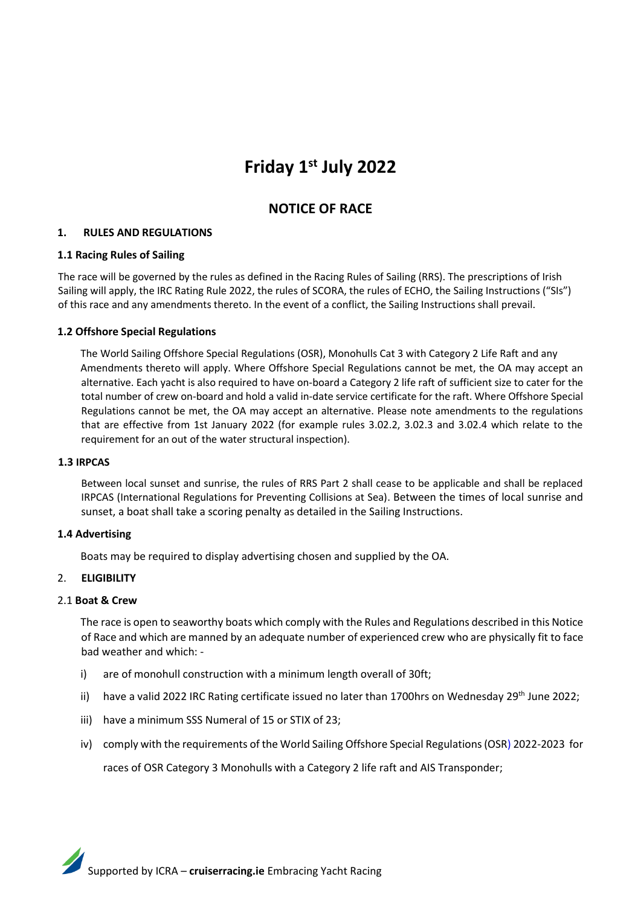# **Friday 1st July 2022**

# **NOTICE OF RACE**

# **1. RULES AND REGULATIONS**

# **1.1 Racing Rules of Sailing**

The race will be governed by the rules as defined in the Racing Rules of Sailing (RRS). The prescriptions of Irish Sailing will apply, the IRC Rating Rule 2022, the rules of SCORA, the rules of ECHO, the Sailing Instructions ("SIs") of this race and any amendments thereto. In the event of a conflict, the Sailing Instructions shall prevail.

# **1.2 Offshore Special Regulations**

The World Sailing Offshore Special Regulations (OSR), Monohulls Cat 3 with Category 2 Life Raft and any Amendments thereto will apply. Where Offshore Special Regulations cannot be met, the OA may accept an alternative. Each yacht is also required to have on-board a Category 2 life raft of sufficient size to cater for the total number of crew on-board and hold a valid in-date service certificate for the raft. Where Offshore Special Regulations cannot be met, the OA may accept an alternative. Please note amendments to the regulations that are effective from 1st January 2022 (for example rules 3.02.2, 3.02.3 and 3.02.4 which relate to the requirement for an out of the water structural inspection).

# **1.3 IRPCAS**

Between local sunset and sunrise, the rules of RRS Part 2 shall cease to be applicable and shall be replaced IRPCAS (International Regulations for Preventing Collisions at Sea). Between the times of local sunrise and sunset, a boat shall take a scoring penalty as detailed in the Sailing Instructions.

# **1.4 Advertising**

Boats may be required to display advertising chosen and supplied by the OA.

# 2. **ELIGIBILITY**

# 2.1 **Boat & Crew**

The race is open to seaworthy boats which comply with the Rules and Regulations described in this Notice of Race and which are manned by an adequate number of experienced crew who are physically fit to face bad weather and which: -

- i) are of monohull construction with a minimum length overall of 30ft;
- ii) have a valid 2022 IRC Rating certificate issued no later than 1700hrs on Wednesday 29<sup>th</sup> June 2022;
- iii) have a minimum SSS Numeral of 15 or STIX of 23;
- iv) comply with the requirements of the World Sailing Offshore Special Regulations (OSR) 2022-2023 for

races of OSR Category 3 Monohulls with a Category 2 life raft and AIS Transponder;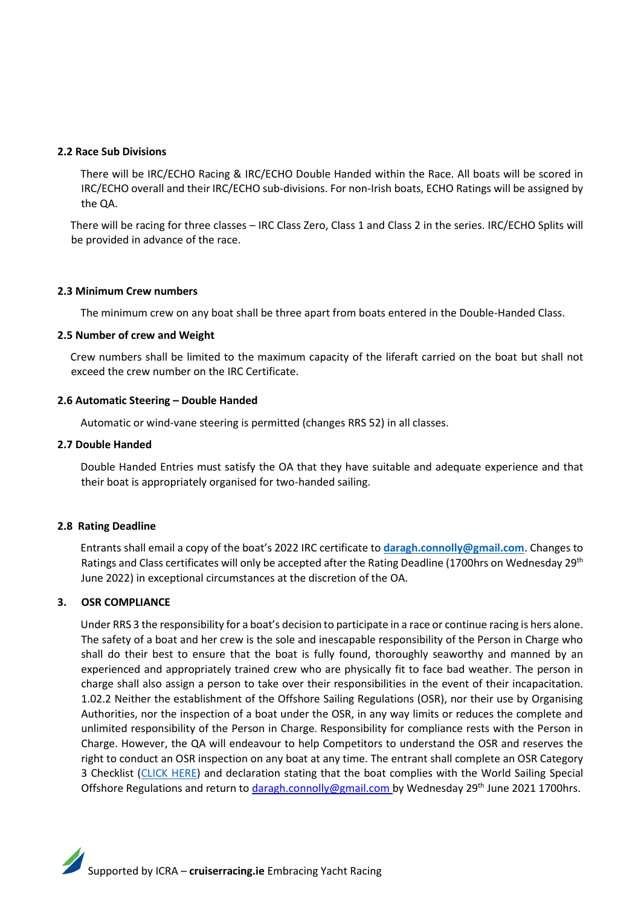# **2.2 Race Sub Divisions**

There will be IRC/ECHO Racing & IRC/ECHO Double Handed within the Race. All boats will be scored in IRC/ECHO overall and their IRC/ECHO sub-divisions. For non-Irish boats, ECHO Ratings will be assigned by the QA.

There will be racing for three classes – IRC Class Zero, Class 1 and Class 2 in the series. IRC/ECHO Splits will be provided in advance of the race.

#### **2.3 Minimum Crew numbers**

The minimum crew on any boat shall be three apart from boats entered in the Double-Handed Class.

#### **2.5 Number of crew and Weight**

Crew numbers shall be limited to the maximum capacity of the liferaft carried on the boat but shall not exceed the crew number on the IRC Certificate.

#### **2.6 Automatic Steering – Double Handed**

Automatic or wind-vane steering is permitted (changes RRS 52) in all classes.

#### **2.7 Double Handed**

Double Handed Entries must satisfy the OA that they have suitable and adequate experience and that their boat is appropriately organised for two-handed sailing.

#### **2.8 Rating Deadline**

Entrants shall email a copy of the boat's 2022 IRC certificate to **[daragh.connolly@gmail.com](mailto:daragh.connolly@gmail.com)**. Changes to Ratings and Class certificates will only be accepted after the Rating Deadline (1700hrs on Wednesday 29<sup>th</sup> June 2022) in exceptional circumstances at the discretion of the OA.

# **3. OSR COMPLIANCE**

Under RRS 3 the responsibility for a boat's decision to participate in a race or continue racing is hers alone. The safety of a boat and her crew is the sole and inescapable responsibility of the Person in Charge who shall do their best to ensure that the boat is fully found, thoroughly seaworthy and manned by an experienced and appropriately trained crew who are physically fit to face bad weather. The person in charge shall also assign a person to take over their responsibilities in the event of their incapacitation. 1.02.2 Neither the establishment of the Offshore Sailing Regulations (OSR), nor their use by Organising Authorities, nor the inspection of a boat under the OSR, in any way limits or reduces the complete and unlimited responsibility of the Person in Charge. Responsibility for compliance rests with the Person in Charge. However, the QA will endeavour to help Competitors to understand the OSR and reserves the right to conduct an OSR inspection on any boat at any time. The entrant shall complete an OSR Category 3 Checklist [\(CLICK HERE\)](http://www.rorc.org/content/images/racing/OSR_Checklist_2020.pdf?msclkid=16c068e0cfcb11ec84546c97cc769953) and declaration stating that the boat complies with the World Sailing Special Offshore Regulations and return to daragh.connolly@gmail.com by Wednesday 29<sup>th</sup> June 2021 1700hrs.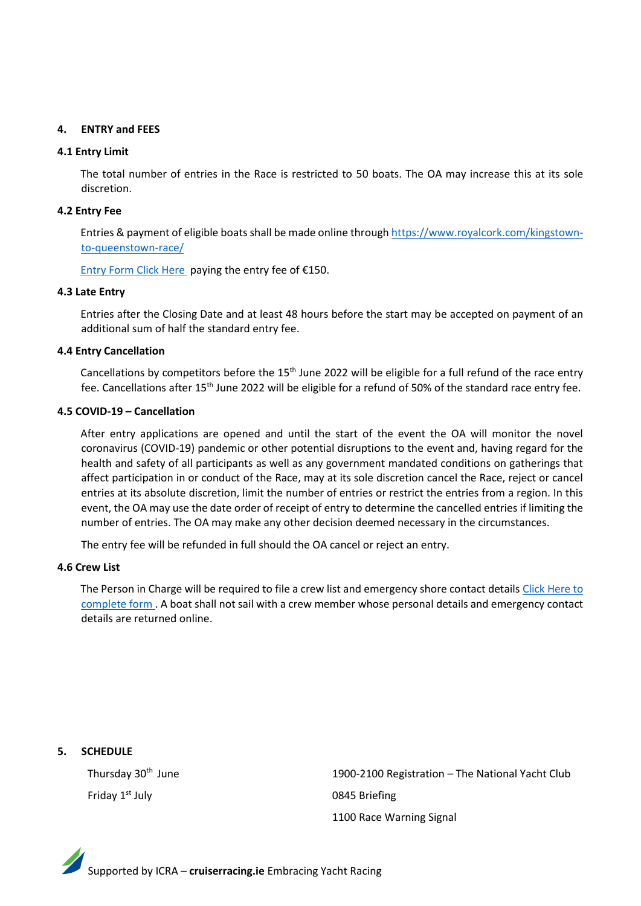# **4. ENTRY and FEES**

#### **4.1 Entry Limit**

The total number of entries in the Race is restricted to 50 boats. The OA may increase this at its sole discretion.

#### **4.2 Entry Fee**

Entries & payment of eligible boats shall be made online through [https://www.royalcork.com/kingstown](https://www.royalcork.com/kingstown-to-queenstown-race/)[to-queenstown-race/](https://www.royalcork.com/kingstown-to-queenstown-race/)

[Entry Form Click Here](https://www.royalcork.com/kingstown-to-queenstown-entry-form/) paying the entry fee of €150.

#### **4.3 Late Entry**

Entries after the Closing Date and at least 48 hours before the start may be accepted on payment of an additional sum of half the standard entry fee.

#### **4.4 Entry Cancellation**

Cancellations by competitors before the 15<sup>th</sup> June 2022 will be eligible for a full refund of the race entry fee. Cancellations after 15<sup>th</sup> June 2022 will be eligible for a refund of 50% of the standard race entry fee.

# **4.5 COVID-19 – Cancellation**

After entry applications are opened and until the start of the event the OA will monitor the novel coronavirus (COVID-19) pandemic or other potential disruptions to the event and, having regard for the health and safety of all participants as well as any government mandated conditions on gatherings that affect participation in or conduct of the Race, may at its sole discretion cancel the Race, reject or cancel entries at its absolute discretion, limit the number of entries or restrict the entries from a region. In this event, the OA may use the date order of receipt of entry to determine the cancelled entries if limiting the number of entries. The OA may make any other decision deemed necessary in the circumstances.

The entry fee will be refunded in full should the OA cancel or reject an entry.

#### **4.6 Crew List**

The Person in Charge will be required to file a crew list and emergency shore contact detail[s Click Here to](https://www.royalcork.com/kingstown-to-queenstown-crew-list/)  [complete](https://www.royalcork.com/kingstown-to-queenstown-crew-list/) form . A boat shall not sail with a crew member whose personal details and emergency contact details are returned online.

**5. SCHEDULE**

Friday 1<sup>st</sup> July **1988** CONSERVING COMPOSED PRIMATION CONTROL OF A USE OF A SET OF A USE OF A SET OF A SET OF A SET OF A SET OF A SET OF A SET OF A SET OF A SET OF A SET OF A SET OF A SET OF A SET OF A SET OF A SET OF A S

Thursday 30<sup>th</sup> June 1900-2100 Registration – The National Yacht Club 1100 Race Warning Signal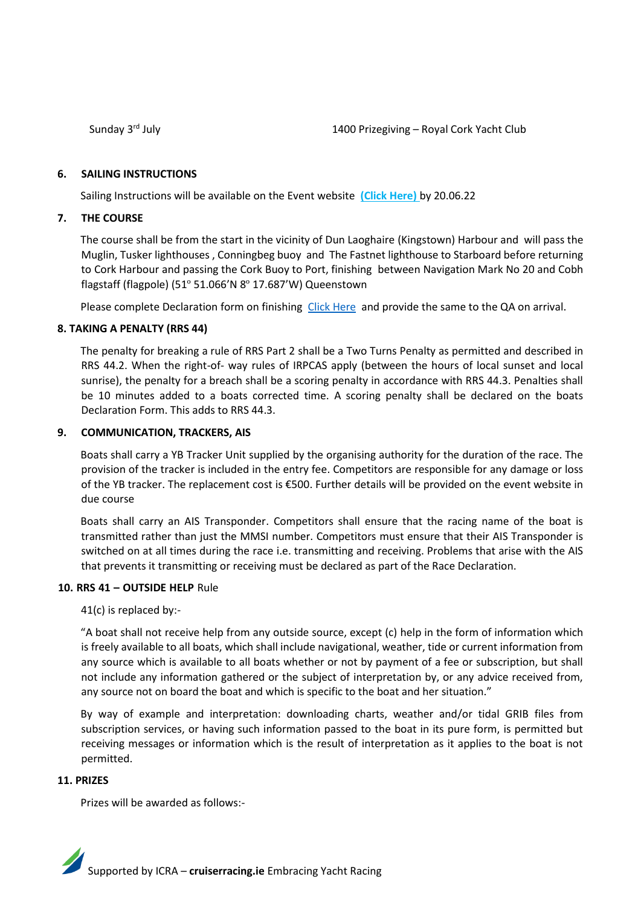Sunday 3rd July

# **6. SAILING INSTRUCTIONS**

Sailing Instructions will be available on the Event website **(Click Here)** by 20.06.22

# **7. THE COURSE**

The course shall be from the start in the vicinity of Dun Laoghaire (Kingstown) Harbour and will pass the Muglin, Tusker lighthouses , Conningbeg buoy and The Fastnet lighthouse to Starboard before returning to Cork Harbour and passing the Cork Buoy to Port, finishing between Navigation Mark No 20 and Cobh flagstaff (flagpole) (51º 51.066'N 8º 17.687'W) Queenstown

Please complete Declaration form on finishing [Click Here](https://www.royalcork.com/wp-content/uploads/2022/05/Declaration-form.pdf) and provide the same to the QA on arrival.

# **8. TAKING A PENALTY (RRS 44)**

The penalty for breaking a rule of RRS Part 2 shall be a Two Turns Penalty as permitted and described in RRS 44.2. When the right-of- way rules of IRPCAS apply (between the hours of local sunset and local sunrise), the penalty for a breach shall be a scoring penalty in accordance with RRS 44.3. Penalties shall be 10 minutes added to a boats corrected time. A scoring penalty shall be declared on the boats Declaration Form. This adds to RRS 44.3.

# **9. COMMUNICATION, TRACKERS, AIS**

Boats shall carry a YB Tracker Unit supplied by the organising authority for the duration of the race. The provision of the tracker is included in the entry fee. Competitors are responsible for any damage or loss of the YB tracker. The replacement cost is €500. Further details will be provided on the event website in due course

Boats shall carry an AIS Transponder. Competitors shall ensure that the racing name of the boat is transmitted rather than just the MMSI number. Competitors must ensure that their AIS Transponder is switched on at all times during the race i.e. transmitting and receiving. Problems that arise with the AIS that prevents it transmitting or receiving must be declared as part of the Race Declaration.

# **10. RRS 41 – OUTSIDE HELP** Rule

41(c) is replaced by:-

"A boat shall not receive help from any outside source, except (c) help in the form of information which is freely available to all boats, which shall include navigational, weather, tide or current information from any source which is available to all boats whether or not by payment of a fee or subscription, but shall not include any information gathered or the subject of interpretation by, or any advice received from, any source not on board the boat and which is specific to the boat and her situation."

By way of example and interpretation: downloading charts, weather and/or tidal GRIB files from subscription services, or having such information passed to the boat in its pure form, is permitted but receiving messages or information which is the result of interpretation as it applies to the boat is not permitted.

# **11. PRIZES**

Prizes will be awarded as follows:-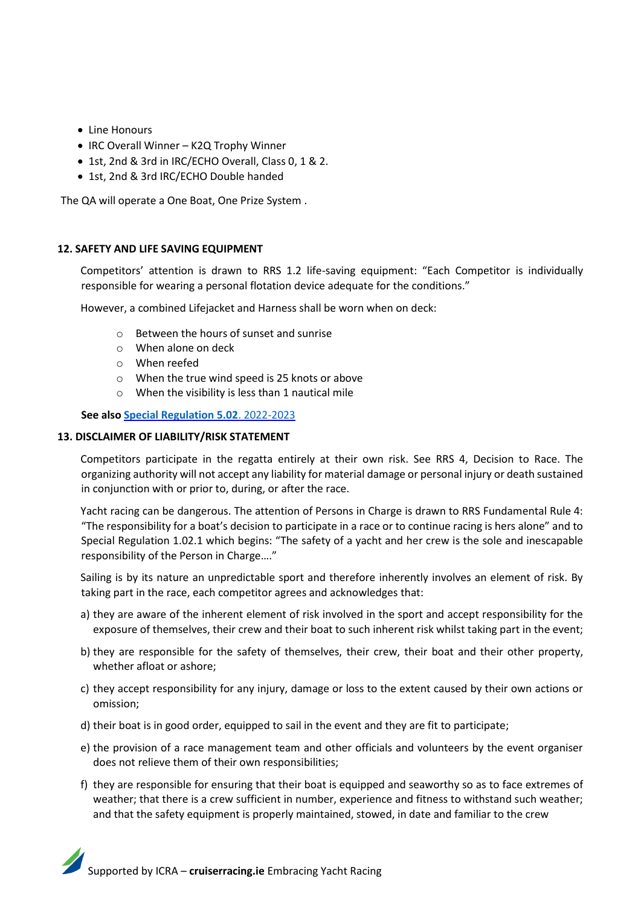- Line Honours
- IRC Overall Winner K2Q Trophy Winner
- 1st, 2nd & 3rd in IRC/ECHO Overall, Class 0, 1 & 2.
- 1st, 2nd & 3rd IRC/ECHO Double handed

The QA will operate a One Boat, One Prize System .

# **12. SAFETY AND LIFE SAVING EQUIPMENT**

Competitors' attention is drawn to RRS 1.2 life-saving equipment: "Each Competitor is individually responsible for wearing a personal flotation device adequate for the conditions."

However, a combined Lifejacket and Harness shall be worn when on deck:

- o Between the hours of sunset and sunrise
- o When alone on deck
- o When reefed
- o When the true wind speed is 25 knots or above
- o When the visibility is less than 1 nautical mile

**See also [Special Regulation 5.02](https://www.sailing.org/tools/documents/WSOffshoreSpecialRegulations20222023v2-%5b27823%5d.pdf)**. 2022-2023

# **13. DISCLAIMER OF LIABILITY/RISK STATEMENT**

Competitors participate in the regatta entirely at their own risk. See RRS 4, Decision to Race. The organizing authority will not accept any liability for material damage or personal injury or death sustained in conjunction with or prior to, during, or after the race.

Yacht racing can be dangerous. The attention of Persons in Charge is drawn to RRS Fundamental Rule 4: "The responsibility for a boat's decision to participate in a race or to continue racing is hers alone" and to Special Regulation 1.02.1 which begins: "The safety of a yacht and her crew is the sole and inescapable responsibility of the Person in Charge…."

Sailing is by its nature an unpredictable sport and therefore inherently involves an element of risk. By taking part in the race, each competitor agrees and acknowledges that:

- a) they are aware of the inherent element of risk involved in the sport and accept responsibility for the exposure of themselves, their crew and their boat to such inherent risk whilst taking part in the event;
- b) they are responsible for the safety of themselves, their crew, their boat and their other property, whether afloat or ashore;
- c) they accept responsibility for any injury, damage or loss to the extent caused by their own actions or omission;
- d) their boat is in good order, equipped to sail in the event and they are fit to participate;
- e) the provision of a race management team and other officials and volunteers by the event organiser does not relieve them of their own responsibilities;
- f) they are responsible for ensuring that their boat is equipped and seaworthy so as to face extremes of weather; that there is a crew sufficient in number, experience and fitness to withstand such weather; and that the safety equipment is properly maintained, stowed, in date and familiar to the crew